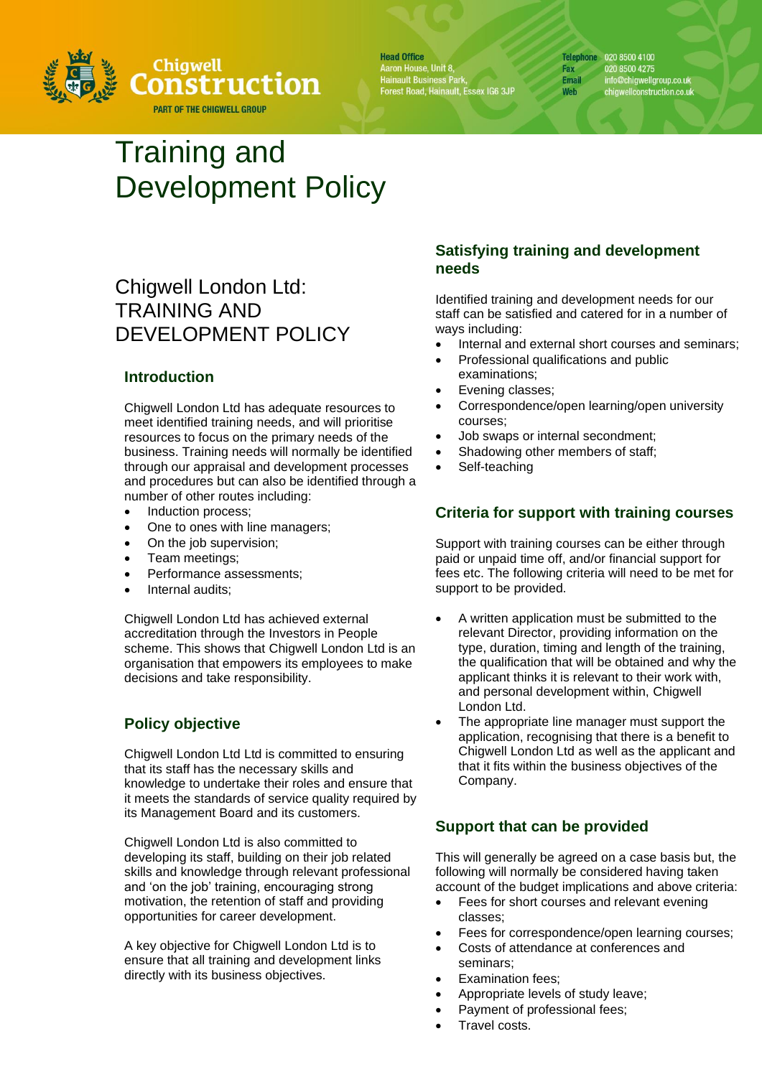

**Head Office** Aaron House, Unit 8,<br>Hainault Business Park,<br>Forest Road, Hainault, Essex IG6 3JP Telephone 020 8500 4100 020 8500 4275 Fax info@chigwellgroup.co.uk<br>chigwellconstruction.co.uk **Email** Web

# Training and Development Policy

# Chigwell London Ltd: TRAINING AND DEVELOPMENT POLICY

## **Introduction**

Chigwell London Ltd has adequate resources to meet identified training needs, and will prioritise resources to focus on the primary needs of the business. Training needs will normally be identified through our appraisal and development processes and procedures but can also be identified through a number of other routes including:

- Induction process;
- One to ones with line managers;
- On the job supervision;
- Team meetings;
- Performance assessments;
- Internal audits:

Chigwell London Ltd has achieved external accreditation through the Investors in People scheme. This shows that Chigwell London Ltd is an organisation that empowers its employees to make decisions and take responsibility.

# **Policy objective**

Chigwell London Ltd Ltd is committed to ensuring that its staff has the necessary skills and knowledge to undertake their roles and ensure that it meets the standards of service quality required by its Management Board and its customers.

Chigwell London Ltd is also committed to developing its staff, building on their job related skills and knowledge through relevant professional and 'on the job' training, encouraging strong motivation, the retention of staff and providing opportunities for career development.

A key objective for Chigwell London Ltd is to ensure that all training and development links directly with its business objectives.

### **Satisfying training and development needs**

Identified training and development needs for our staff can be satisfied and catered for in a number of ways including:

- Internal and external short courses and seminars:
- Professional qualifications and public examinations;
- Evening classes;
- Correspondence/open learning/open university courses;
- Job swaps or internal secondment;
- Shadowing other members of staff;
- Self-teaching

### **Criteria for support with training courses**

Support with training courses can be either through paid or unpaid time off, and/or financial support for fees etc. The following criteria will need to be met for support to be provided.

- A written application must be submitted to the relevant Director, providing information on the type, duration, timing and length of the training, the qualification that will be obtained and why the applicant thinks it is relevant to their work with, and personal development within, Chigwell London Ltd.
- The appropriate line manager must support the application, recognising that there is a benefit to Chigwell London Ltd as well as the applicant and that it fits within the business objectives of the Company.

### **Support that can be provided**

This will generally be agreed on a case basis but, the following will normally be considered having taken account of the budget implications and above criteria:

- Fees for short courses and relevant evening classes;
- Fees for correspondence/open learning courses;
- Costs of attendance at conferences and seminars;
- **Examination fees;**
- Appropriate levels of study leave;
- Payment of professional fees;
- Travel costs.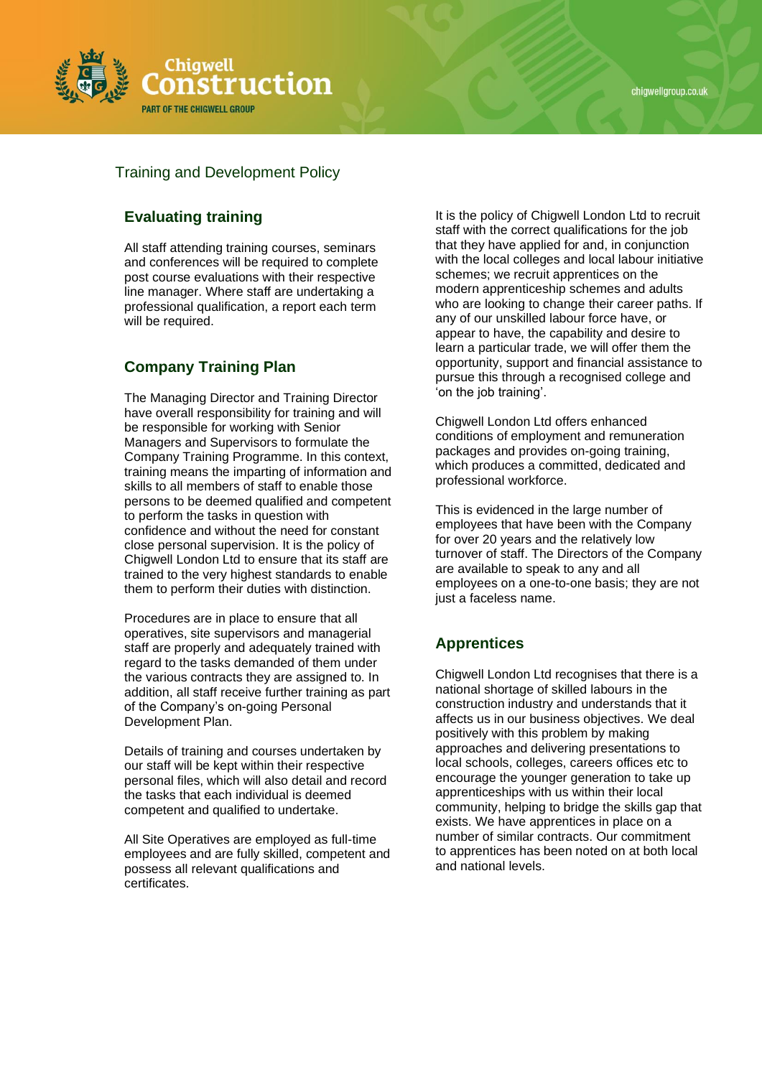



### Training and Development Policy

# **Evaluating training**

All staff attending training courses, seminars and conferences will be required to complete post course evaluations with their respective line manager. Where staff are undertaking a professional qualification, a report each term will be required.

### **Company Training Plan**

The Managing Director and Training Director have overall responsibility for training and will be responsible for working with Senior Managers and Supervisors to formulate the Company Training Programme. In this context, training means the imparting of information and skills to all members of staff to enable those persons to be deemed qualified and competent to perform the tasks in question with confidence and without the need for constant close personal supervision. It is the policy of Chigwell London Ltd to ensure that its staff are trained to the very highest standards to enable them to perform their duties with distinction.

Procedures are in place to ensure that all operatives, site supervisors and managerial staff are properly and adequately trained with regard to the tasks demanded of them under the various contracts they are assigned to. In addition, all staff receive further training as part of the Company's on-going Personal Development Plan.

Details of training and courses undertaken by our staff will be kept within their respective personal files, which will also detail and record the tasks that each individual is deemed competent and qualified to undertake.

All Site Operatives are employed as full-time employees and are fully skilled, competent and possess all relevant qualifications and certificates.

It is the policy of Chigwell London Ltd to recruit staff with the correct qualifications for the job that they have applied for and, in conjunction with the local colleges and local labour initiative schemes; we recruit apprentices on the modern apprenticeship schemes and adults who are looking to change their career paths. If any of our unskilled labour force have, or appear to have, the capability and desire to learn a particular trade, we will offer them the opportunity, support and financial assistance to pursue this through a recognised college and 'on the job training'.

Chigwell London Ltd offers enhanced conditions of employment and remuneration packages and provides on-going training, which produces a committed, dedicated and professional workforce.

This is evidenced in the large number of employees that have been with the Company for over 20 years and the relatively low turnover of staff. The Directors of the Company are available to speak to any and all employees on a one-to-one basis; they are not just a faceless name.

#### **Apprentices**

Chigwell London Ltd recognises that there is a national shortage of skilled labours in the construction industry and understands that it affects us in our business objectives. We deal positively with this problem by making approaches and delivering presentations to local schools, colleges, careers offices etc to encourage the younger generation to take up apprenticeships with us within their local community, helping to bridge the skills gap that exists. We have apprentices in place on a number of similar contracts. Our commitment to apprentices has been noted on at both local and national levels.